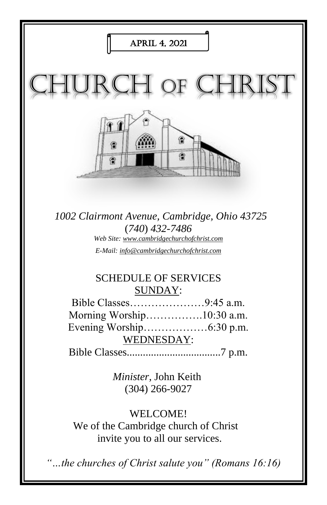

*"…the churches of Christ salute you" (Romans 16:16)*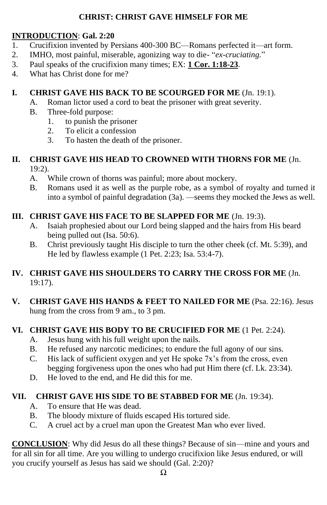#### **CHRIST: CHRIST GAVE HIMSELF FOR ME**

#### **INTRODUCTION**: **Gal. 2:20**

- 1. Crucifixion invented by Persians 400-300 BC—Romans perfected it—art form.
- 2. IMHO, most painful, miserable, agonizing way to die- "*ex-cruciating.*"
- 3. Paul speaks of the crucifixion many times; EX: **1 Cor. 1:18-23**.
- 4. What has Christ done for me?

# **I. CHRIST GAVE HIS BACK TO BE SCOURGED FOR ME** (Jn. 19:1).

- A. Roman lictor used a cord to beat the prisoner with great severity.
- B. Three-fold purpose:
	- 1. to punish the prisoner
	- 2. To elicit a confession
	- 3. To hasten the death of the prisoner.

#### **II. CHRIST GAVE HIS HEAD TO CROWNED WITH THORNS FOR ME** (Jn. 19:2).

- A. While crown of thorns was painful; more about mockery.
- B. Romans used it as well as the purple robe, as a symbol of royalty and turned it into a symbol of painful degradation (3a). —seems they mocked the Jews as well.

## **III. CHRIST GAVE HIS FACE TO BE SLAPPED FOR ME** (Jn. 19:3).

- A. Isaiah prophesied about our Lord being slapped and the hairs from His beard being pulled out (Isa. 50:6).
- B. Christ previously taught His disciple to turn the other cheek (cf. Mt. 5:39), and He led by flawless example (1 Pet. 2:23; Isa. 53:4-7).

## **IV. CHRIST GAVE HIS SHOULDERS TO CARRY THE CROSS FOR ME** (Jn. 19:17).

**V. CHRIST GAVE HIS HANDS & FEET TO NAILED FOR ME** (Psa. 22:16). Jesus hung from the cross from 9 am., to 3 pm.

## **VI. CHRIST GAVE HIS BODY TO BE CRUCIFIED FOR ME** (1 Pet. 2:24).

- A. Jesus hung with his full weight upon the nails.
- B. He refused any narcotic medicines; to endure the full agony of our sins.
- C. His lack of sufficient oxygen and yet He spoke 7x's from the cross, even begging forgiveness upon the ones who had put Him there (cf. Lk. 23:34).
- D. He loved to the end, and He did this for me.

## **VII. CHRIST GAVE HIS SIDE TO BE STABBED FOR ME** (Jn. 19:34).

- A. To ensure that He was dead.
- B. The bloody mixture of fluids escaped His tortured side.
- C. A cruel act by a cruel man upon the Greatest Man who ever lived.

**CONCLUSION**: Why did Jesus do all these things? Because of sin—mine and yours and for all sin for all time. Are you willing to undergo crucifixion like Jesus endured, or will you crucify yourself as Jesus has said we should (Gal. 2:20)?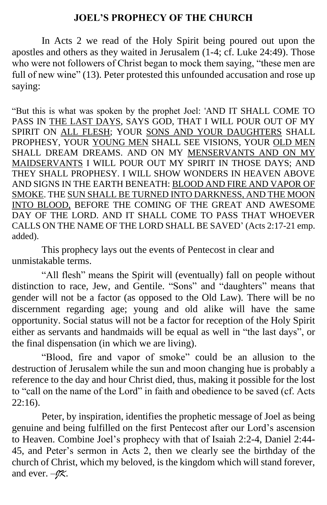#### **JOEL'S PROPHECY OF THE CHURCH**

In Acts 2 we read of the Holy Spirit being poured out upon the apostles and others as they waited in Jerusalem (1-4; cf. Luke 24:49). Those who were not followers of Christ began to mock them saying, "these men are full of new wine" (13). Peter protested this unfounded accusation and rose up saying:

"But this is what was spoken by the prophet Joel: 'AND IT SHALL COME TO PASS IN THE LAST DAYS, SAYS GOD, THAT I WILL POUR OUT OF MY SPIRIT ON ALL FLESH; YOUR SONS AND YOUR DAUGHTERS SHALL PROPHESY, YOUR YOUNG MEN SHALL SEE VISIONS, YOUR OLD MEN SHALL DREAM DREAMS. AND ON MY MENSERVANTS AND ON MY MAIDSERVANTS I WILL POUR OUT MY SPIRIT IN THOSE DAYS; AND THEY SHALL PROPHESY. I WILL SHOW WONDERS IN HEAVEN ABOVE AND SIGNS IN THE EARTH BENEATH: BLOOD AND FIRE AND VAPOR OF SMOKE. THE SUN SHALL BE TURNED INTO DARKNESS, AND THE MOON INTO BLOOD, BEFORE THE COMING OF THE GREAT AND AWESOME DAY OF THE LORD. AND IT SHALL COME TO PASS THAT WHOEVER CALLS ON THE NAME OF THE LORD SHALL BE SAVED' (Acts 2:17-21 emp. added).

This prophecy lays out the events of Pentecost in clear and unmistakable terms.

"All flesh" means the Spirit will (eventually) fall on people without distinction to race, Jew, and Gentile. "Sons" and "daughters" means that gender will not be a factor (as opposed to the Old Law). There will be no discernment regarding age; young and old alike will have the same opportunity. Social status will not be a factor for reception of the Holy Spirit either as servants and handmaids will be equal as well in "the last days", or the final dispensation (in which we are living).

"Blood, fire and vapor of smoke" could be an allusion to the destruction of Jerusalem while the sun and moon changing hue is probably a reference to the day and hour Christ died, thus, making it possible for the lost to "call on the name of the Lord" in faith and obedience to be saved (cf. Acts 22:16).

Peter, by inspiration, identifies the prophetic message of Joel as being genuine and being fulfilled on the first Pentecost after our Lord's ascension to Heaven. Combine Joel's prophecy with that of Isaiah 2:2-4, Daniel 2:44- 45, and Peter's sermon in Acts 2, then we clearly see the birthday of the church of Christ, which my beloved, is the kingdom which will stand forever, and ever. –*JK*.